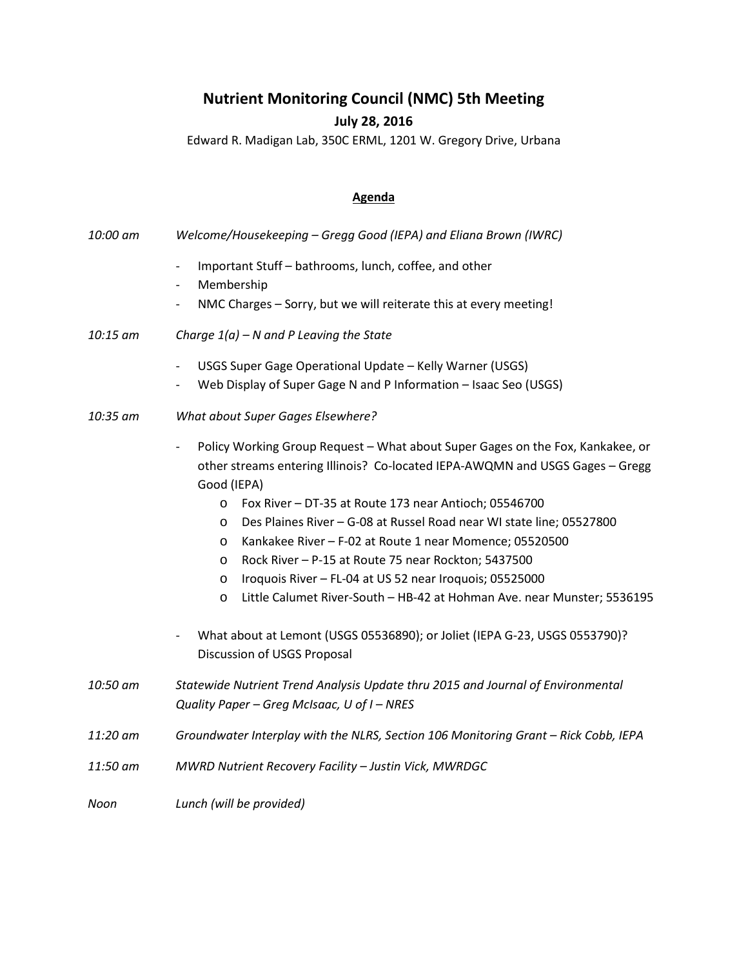## **Nutrient Monitoring Council (NMC) 5th Meeting**

## **July 28, 2016**

Edward R. Madigan Lab, 350C ERML, 1201 W. Gregory Drive, Urbana

## **Agenda**

| 10:00 am | Welcome/Housekeeping - Gregg Good (IEPA) and Eliana Brown (IWRC)                                                                                                                                                                                                                                                                                                                                                                                                                                                                                                                                                                                                                                                                                                                                      |
|----------|-------------------------------------------------------------------------------------------------------------------------------------------------------------------------------------------------------------------------------------------------------------------------------------------------------------------------------------------------------------------------------------------------------------------------------------------------------------------------------------------------------------------------------------------------------------------------------------------------------------------------------------------------------------------------------------------------------------------------------------------------------------------------------------------------------|
|          | Important Stuff - bathrooms, lunch, coffee, and other<br>$\overline{\phantom{a}}$<br>Membership<br>$\overline{\phantom{a}}$                                                                                                                                                                                                                                                                                                                                                                                                                                                                                                                                                                                                                                                                           |
|          | NMC Charges - Sorry, but we will reiterate this at every meeting!<br>$\overline{\phantom{a}}$                                                                                                                                                                                                                                                                                                                                                                                                                                                                                                                                                                                                                                                                                                         |
| 10:15 am | Charge $1(a)$ – N and P Leaving the State                                                                                                                                                                                                                                                                                                                                                                                                                                                                                                                                                                                                                                                                                                                                                             |
|          | USGS Super Gage Operational Update - Kelly Warner (USGS)<br>$\qquad \qquad -$                                                                                                                                                                                                                                                                                                                                                                                                                                                                                                                                                                                                                                                                                                                         |
|          | Web Display of Super Gage N and P Information - Isaac Seo (USGS)<br>$\qquad \qquad -$                                                                                                                                                                                                                                                                                                                                                                                                                                                                                                                                                                                                                                                                                                                 |
| 10:35 am | What about Super Gages Elsewhere?                                                                                                                                                                                                                                                                                                                                                                                                                                                                                                                                                                                                                                                                                                                                                                     |
|          | Policy Working Group Request - What about Super Gages on the Fox, Kankakee, or<br>$\qquad \qquad -$<br>other streams entering Illinois? Co-located IEPA-AWQMN and USGS Gages - Gregg<br>Good (IEPA)<br>Fox River - DT-35 at Route 173 near Antioch; 05546700<br>$\circ$<br>Des Plaines River - G-08 at Russel Road near WI state line; 05527800<br>$\circ$<br>Kankakee River - F-02 at Route 1 near Momence; 05520500<br>$\circ$<br>Rock River - P-15 at Route 75 near Rockton; 5437500<br>$\circ$<br>Iroquois River - FL-04 at US 52 near Iroquois; 05525000<br>$\circ$<br>Little Calumet River-South - HB-42 at Hohman Ave. near Munster; 5536195<br>O<br>What about at Lemont (USGS 05536890); or Joliet (IEPA G-23, USGS 0553790)?<br>$\qquad \qquad \blacksquare$<br>Discussion of USGS Proposal |
| 10:50 am | Statewide Nutrient Trend Analysis Update thru 2015 and Journal of Environmental<br>Quality Paper - Greg McIsaac, U of I - NRES                                                                                                                                                                                                                                                                                                                                                                                                                                                                                                                                                                                                                                                                        |
| 11:20 am | Groundwater Interplay with the NLRS, Section 106 Monitoring Grant - Rick Cobb, IEPA                                                                                                                                                                                                                                                                                                                                                                                                                                                                                                                                                                                                                                                                                                                   |
| 11:50 am | MWRD Nutrient Recovery Facility - Justin Vick, MWRDGC                                                                                                                                                                                                                                                                                                                                                                                                                                                                                                                                                                                                                                                                                                                                                 |
| Noon     | Lunch (will be provided)                                                                                                                                                                                                                                                                                                                                                                                                                                                                                                                                                                                                                                                                                                                                                                              |